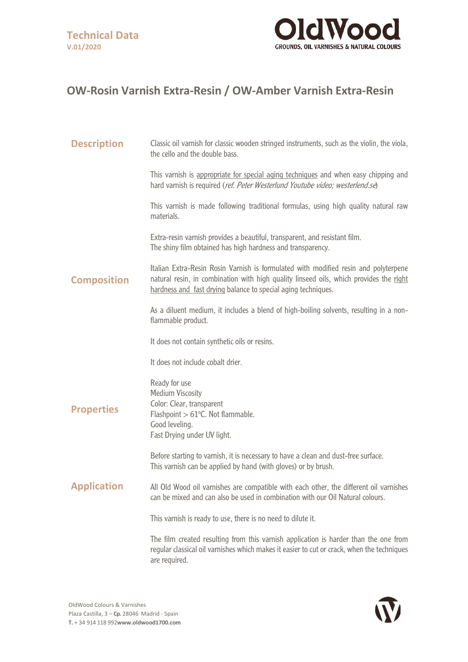

## **OW-Rosin Varnish Extra-Resin / OW-Amber Varnish Extra-Resin**

| <b>Description</b> | Classic oil varnish for classic wooden stringed instruments, such as the violin, the viola,<br>the cello and the double bass.                                                                                                                  |
|--------------------|------------------------------------------------------------------------------------------------------------------------------------------------------------------------------------------------------------------------------------------------|
|                    | This varnish is appropriate for special aging techniques and when easy chipping and<br>hard varnish is required (ref. Peter Westerlund Youtube video; westerlend.se)                                                                           |
|                    | This varnish is made following traditional formulas, using high quality natural raw<br>materials.                                                                                                                                              |
|                    | Extra-resin varnish provides a beautiful, transparent, and resistant film.<br>The shiny film obtained has high hardness and transparency.                                                                                                      |
| <b>Composition</b> | Italian Extra-Resin Rosin Varnish is formulated with modified resin and polyterpene<br>natural resin, in combination with high quality linseed oils, which provides the right<br>hardness and fast drying balance to special aging techniques. |
|                    | As a diluent medium, it includes a blend of high-boiling solvents, resulting in a non-<br>flammable product.                                                                                                                                   |
|                    | It does not contain synthetic oils or resins.                                                                                                                                                                                                  |
|                    | It does not include cobalt drier.                                                                                                                                                                                                              |
| <b>Properties</b>  | Ready for use<br><b>Medium Viscosity</b><br>Color: Clear, transparent<br>Flashpoint $> 61^{\circ}$ C. Not flammable.<br>Good leveling.<br>Fast Drying under UV light.                                                                          |
|                    | Before starting to varnish, it is necessary to have a clean and dust-free surface.<br>This varnish can be applied by hand (with gloves) or by brush.                                                                                           |
| <b>Application</b> | All Old Wood oil varnishes are compatible with each other, the different oil varnishes<br>can be mixed and can also be used in combination with our Oil Natural colours.                                                                       |
|                    | This varnish is ready to use, there is no need to dilute it.                                                                                                                                                                                   |
|                    | The film created resulting from this varnish application is harder than the one from<br>regular classical oil varnishes which makes it easier to cut or crack, when the techniques<br>are required.                                            |